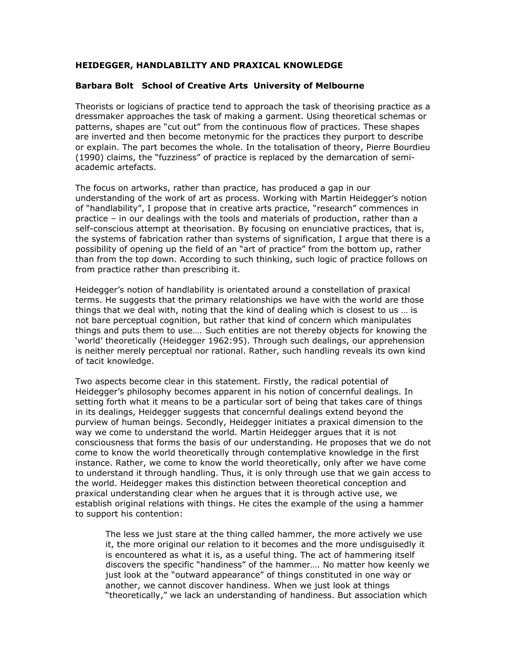## **HEIDEGGER, HANDLABILITY AND PRAXICAL KNOWLEDGE**

## **Barbara Bolt School of Creative Arts University of Melbourne**

Theorists or logicians of practice tend to approach the task of theorising practice as a dressmaker approaches the task of making a garment. Using theoretical schemas or patterns, shapes are "cut out" from the continuous flow of practices. These shapes are inverted and then become metonymic for the practices they purport to describe or explain. The part becomes the whole. In the totalisation of theory, Pierre Bourdieu (1990) claims, the "fuzziness" of practice is replaced by the demarcation of semiacademic artefacts.

The focus on artworks, rather than practice, has produced a gap in our understanding of the work of art as process. Working with Martin Heidegger's notion of "handlability", I propose that in creative arts practice, "research" commences in practice – in our dealings with the tools and materials of production, rather than a self-conscious attempt at theorisation. By focusing on enunciative practices, that is, the systems of fabrication rather than systems of signification, I argue that there is a possibility of opening up the field of an "art of practice" from the bottom up, rather than from the top down. According to such thinking, such logic of practice follows on from practice rather than prescribing it.

Heidegger's notion of handlability is orientated around a constellation of praxical terms. He suggests that the primary relationships we have with the world are those things that we deal with, noting that the kind of dealing which is closest to us … is not bare perceptual cognition, but rather that kind of concern which manipulates things and puts them to use…. Such entities are not thereby objects for knowing the 'world' theoretically (Heidegger 1962:95). Through such dealings, our apprehension is neither merely perceptual nor rational. Rather, such handling reveals its own kind of tacit knowledge.

Two aspects become clear in this statement. Firstly, the radical potential of Heidegger's philosophy becomes apparent in his notion of concernful dealings. In setting forth what it means to be a particular sort of being that takes care of things in its dealings, Heidegger suggests that concernful dealings extend beyond the purview of human beings. Secondly, Heidegger initiates a praxical dimension to the way we come to understand the world. Martin Heidegger argues that it is not consciousness that forms the basis of our understanding. He proposes that we do not come to know the world theoretically through contemplative knowledge in the first instance. Rather, we come to know the world theoretically, only after we have come to understand it through handling. Thus, it is only through use that we gain access to the world. Heidegger makes this distinction between theoretical conception and praxical understanding clear when he argues that it is through active use, we establish original relations with things. He cites the example of the using a hammer to support his contention:

The less we just stare at the thing called hammer, the more actively we use it, the more original our relation to it becomes and the more undisguisedly it is encountered as what it is, as a useful thing. The act of hammering itself discovers the specific "handiness" of the hammer…. No matter how keenly we just look at the "outward appearance" of things constituted in one way or another, we cannot discover handiness. When we just look at things "theoretically," we lack an understanding of handiness. But association which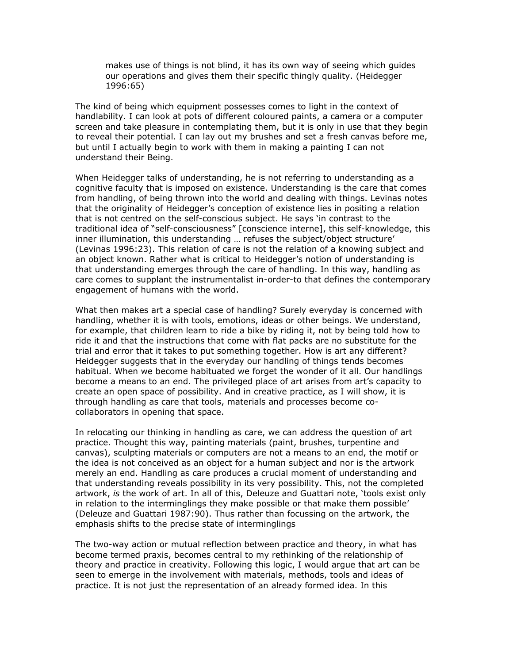makes use of things is not blind, it has its own way of seeing which guides our operations and gives them their specific thingly quality. (Heidegger 1996:65)

The kind of being which equipment possesses comes to light in the context of handlability. I can look at pots of different coloured paints, a camera or a computer screen and take pleasure in contemplating them, but it is only in use that they begin to reveal their potential. I can lay out my brushes and set a fresh canvas before me, but until I actually begin to work with them in making a painting I can not understand their Being.

When Heidegger talks of understanding, he is not referring to understanding as a cognitive faculty that is imposed on existence. Understanding is the care that comes from handling, of being thrown into the world and dealing with things. Levinas notes that the originality of Heidegger's conception of existence lies in positing a relation that is not centred on the self-conscious subject. He says 'in contrast to the traditional idea of "self-consciousness" [conscience interne], this self-knowledge, this inner illumination, this understanding … refuses the subject/object structure' (Levinas 1996:23). This relation of care is not the relation of a knowing subject and an object known. Rather what is critical to Heidegger's notion of understanding is that understanding emerges through the care of handling. In this way, handling as care comes to supplant the instrumentalist in-order-to that defines the contemporary engagement of humans with the world.

What then makes art a special case of handling? Surely everyday is concerned with handling, whether it is with tools, emotions, ideas or other beings. We understand, for example, that children learn to ride a bike by riding it, not by being told how to ride it and that the instructions that come with flat packs are no substitute for the trial and error that it takes to put something together. How is art any different? Heidegger suggests that in the everyday our handling of things tends becomes habitual. When we become habituated we forget the wonder of it all. Our handlings become a means to an end. The privileged place of art arises from art's capacity to create an open space of possibility. And in creative practice, as I will show, it is through handling as care that tools, materials and processes become cocollaborators in opening that space.

In relocating our thinking in handling as care, we can address the question of art practice. Thought this way, painting materials (paint, brushes, turpentine and canvas), sculpting materials or computers are not a means to an end, the motif or the idea is not conceived as an object for a human subject and nor is the artwork merely an end. Handling as care produces a crucial moment of understanding and that understanding reveals possibility in its very possibility. This, not the completed artwork, *is* the work of art. In all of this, Deleuze and Guattari note, 'tools exist only in relation to the interminglings they make possible or that make them possible' (Deleuze and Guattari 1987:90). Thus rather than focussing on the artwork, the emphasis shifts to the precise state of interminglings

The two-way action or mutual reflection between practice and theory, in what has become termed praxis, becomes central to my rethinking of the relationship of theory and practice in creativity. Following this logic, I would argue that art can be seen to emerge in the involvement with materials, methods, tools and ideas of practice. It is not just the representation of an already formed idea. In this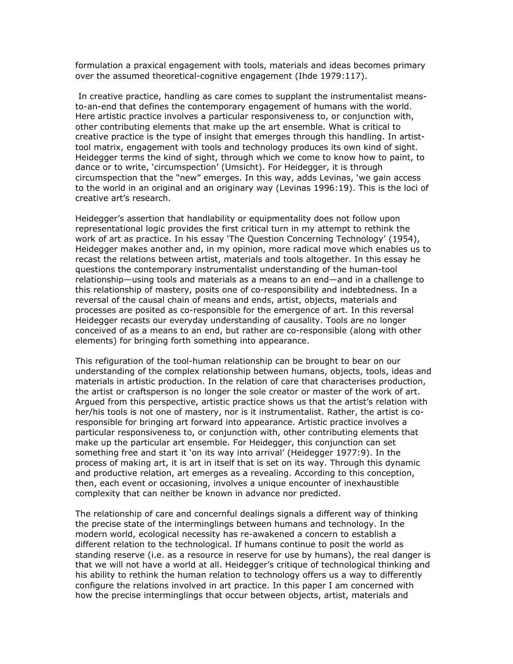formulation a praxical engagement with tools, materials and ideas becomes primary over the assumed theoretical-cognitive engagement (Ihde 1979:117).

 In creative practice, handling as care comes to supplant the instrumentalist meansto-an-end that defines the contemporary engagement of humans with the world. Here artistic practice involves a particular responsiveness to, or conjunction with, other contributing elements that make up the art ensemble. What is critical to creative practice is the type of insight that emerges through this handling. In artisttool matrix, engagement with tools and technology produces its own kind of sight. Heidegger terms the kind of sight, through which we come to know how to paint, to dance or to write, 'circumspection' (Umsicht). For Heidegger, it is through circumspection that the "new" emerges. In this way, adds Levinas, 'we gain access to the world in an original and an originary way (Levinas 1996:19). This is the loci of creative art's research.

Heidegger's assertion that handlability or equipmentality does not follow upon representational logic provides the first critical turn in my attempt to rethink the work of art as practice. In his essay 'The Question Concerning Technology' (1954), Heidegger makes another and, in my opinion, more radical move which enables us to recast the relations between artist, materials and tools altogether. In this essay he questions the contemporary instrumentalist understanding of the human-tool relationship—using tools and materials as a means to an end—and in a challenge to this relationship of mastery, posits one of co-responsibility and indebtedness. In a reversal of the causal chain of means and ends, artist, objects, materials and processes are posited as co-responsible for the emergence of art. In this reversal Heidegger recasts our everyday understanding of causality. Tools are no longer conceived of as a means to an end, but rather are co-responsible (along with other elements) for bringing forth something into appearance.

This refiguration of the tool-human relationship can be brought to bear on our understanding of the complex relationship between humans, objects, tools, ideas and materials in artistic production. In the relation of care that characterises production, the artist or craftsperson is no longer the sole creator or master of the work of art. Argued from this perspective, artistic practice shows us that the artist's relation with her/his tools is not one of mastery, nor is it instrumentalist. Rather, the artist is coresponsible for bringing art forward into appearance. Artistic practice involves a particular responsiveness to, or conjunction with, other contributing elements that make up the particular art ensemble. For Heidegger, this conjunction can set something free and start it 'on its way into arrival' (Heidegger 1977:9). In the process of making art, it is art in itself that is set on its way. Through this dynamic and productive relation, art emerges as a revealing. According to this conception, then, each event or occasioning, involves a unique encounter of inexhaustible complexity that can neither be known in advance nor predicted.

The relationship of care and concernful dealings signals a different way of thinking the precise state of the interminglings between humans and technology. In the modern world, ecological necessity has re-awakened a concern to establish a different relation to the technological. If humans continue to posit the world as standing reserve (i.e. as a resource in reserve for use by humans), the real danger is that we will not have a world at all. Heidegger's critique of technological thinking and his ability to rethink the human relation to technology offers us a way to differently configure the relations involved in art practice. In this paper I am concerned with how the precise interminglings that occur between objects, artist, materials and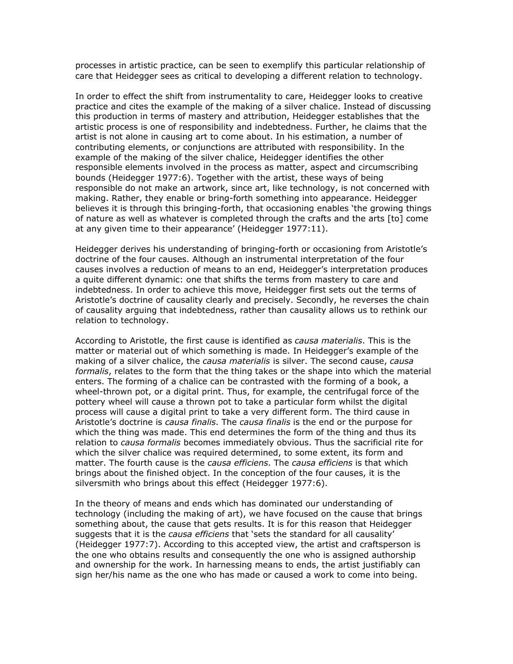processes in artistic practice, can be seen to exemplify this particular relationship of care that Heidegger sees as critical to developing a different relation to technology.

In order to effect the shift from instrumentality to care, Heidegger looks to creative practice and cites the example of the making of a silver chalice. Instead of discussing this production in terms of mastery and attribution, Heidegger establishes that the artistic process is one of responsibility and indebtedness. Further, he claims that the artist is not alone in causing art to come about. In his estimation, a number of contributing elements, or conjunctions are attributed with responsibility. In the example of the making of the silver chalice, Heidegger identifies the other responsible elements involved in the process as matter, aspect and circumscribing bounds (Heidegger 1977:6). Together with the artist, these ways of being responsible do not make an artwork, since art, like technology, is not concerned with making. Rather, they enable or bring-forth something into appearance. Heidegger believes it is through this bringing-forth, that occasioning enables 'the growing things of nature as well as whatever is completed through the crafts and the arts [to] come at any given time to their appearance' (Heidegger 1977:11).

Heidegger derives his understanding of bringing-forth or occasioning from Aristotle's doctrine of the four causes. Although an instrumental interpretation of the four causes involves a reduction of means to an end, Heidegger's interpretation produces a quite different dynamic: one that shifts the terms from mastery to care and indebtedness. In order to achieve this move, Heidegger first sets out the terms of Aristotle's doctrine of causality clearly and precisely. Secondly, he reverses the chain of causality arguing that indebtedness, rather than causality allows us to rethink our relation to technology.

According to Aristotle, the first cause is identified as *causa materialis*. This is the matter or material out of which something is made. In Heidegger's example of the making of a silver chalice, the *causa materialis* is silver. The second cause, *causa formalis*, relates to the form that the thing takes or the shape into which the material enters. The forming of a chalice can be contrasted with the forming of a book, a wheel-thrown pot, or a digital print. Thus, for example, the centrifugal force of the pottery wheel will cause a thrown pot to take a particular form whilst the digital process will cause a digital print to take a very different form. The third cause in Aristotle's doctrine is *causa finalis*. The *causa finalis* is the end or the purpose for which the thing was made. This end determines the form of the thing and thus its relation to *causa formalis* becomes immediately obvious. Thus the sacrificial rite for which the silver chalice was required determined, to some extent, its form and matter. The fourth cause is the *causa efficiens*. The *causa efficiens* is that which brings about the finished object. In the conception of the four causes, it is the silversmith who brings about this effect (Heidegger 1977:6).

In the theory of means and ends which has dominated our understanding of technology (including the making of art), we have focused on the cause that brings something about, the cause that gets results. It is for this reason that Heidegger suggests that it is the *causa efficiens* that 'sets the standard for all causality' (Heidegger 1977:7). According to this accepted view, the artist and craftsperson is the one who obtains results and consequently the one who is assigned authorship and ownership for the work. In harnessing means to ends, the artist justifiably can sign her/his name as the one who has made or caused a work to come into being.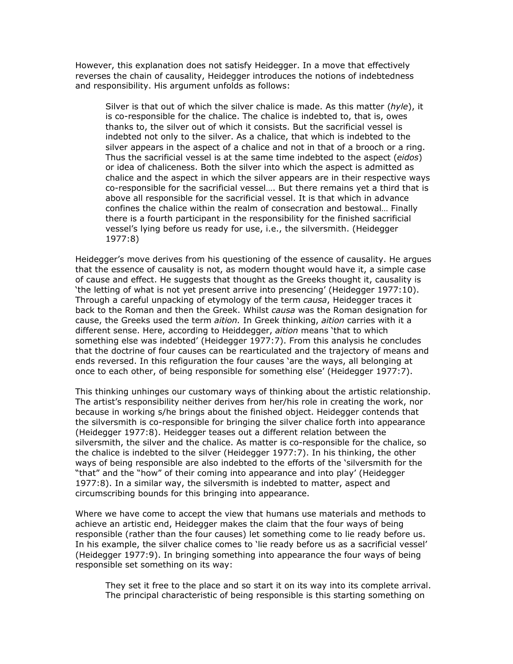However, this explanation does not satisfy Heidegger. In a move that effectively reverses the chain of causality, Heidegger introduces the notions of indebtedness and responsibility. His argument unfolds as follows:

Silver is that out of which the silver chalice is made. As this matter (*hyle*), it is co-responsible for the chalice. The chalice is indebted to, that is, owes thanks to, the silver out of which it consists. But the sacrificial vessel is indebted not only to the silver. As a chalice, that which is indebted to the silver appears in the aspect of a chalice and not in that of a brooch or a ring. Thus the sacrificial vessel is at the same time indebted to the aspect (*eidos*) or idea of chaliceness. Both the silver into which the aspect is admitted as chalice and the aspect in which the silver appears are in their respective ways co-responsible for the sacrificial vessel…. But there remains yet a third that is above all responsible for the sacrificial vessel. It is that which in advance confines the chalice within the realm of consecration and bestowal… Finally there is a fourth participant in the responsibility for the finished sacrificial vessel's lying before us ready for use, i.e., the silversmith. (Heidegger 1977:8)

Heidegger's move derives from his questioning of the essence of causality. He argues that the essence of causality is not, as modern thought would have it, a simple case of cause and effect. He suggests that thought as the Greeks thought it, causality is 'the letting of what is not yet present arrive into presencing' (Heidegger 1977:10). Through a careful unpacking of etymology of the term *causa*, Heidegger traces it back to the Roman and then the Greek. Whilst *causa* was the Roman designation for cause, the Greeks used the term *aition.* In Greek thinking, *aition* carries with it a different sense. Here, according to Heiddegger, *aition* means 'that to which something else was indebted' (Heidegger 1977:7). From this analysis he concludes that the doctrine of four causes can be rearticulated and the trajectory of means and ends reversed. In this refiguration the four causes 'are the ways, all belonging at once to each other, of being responsible for something else' (Heidegger 1977:7).

This thinking unhinges our customary ways of thinking about the artistic relationship. The artist's responsibility neither derives from her/his role in creating the work, nor because in working s/he brings about the finished object. Heidegger contends that the silversmith is co-responsible for bringing the silver chalice forth into appearance (Heidegger 1977:8). Heidegger teases out a different relation between the silversmith, the silver and the chalice. As matter is co-responsible for the chalice, so the chalice is indebted to the silver (Heidegger 1977:7). In his thinking, the other ways of being responsible are also indebted to the efforts of the 'silversmith for the "that" and the "how" of their coming into appearance and into play' (Heidegger 1977:8). In a similar way, the silversmith is indebted to matter, aspect and circumscribing bounds for this bringing into appearance.

Where we have come to accept the view that humans use materials and methods to achieve an artistic end, Heidegger makes the claim that the four ways of being responsible (rather than the four causes) let something come to lie ready before us. In his example, the silver chalice comes to 'lie ready before us as a sacrificial vessel' (Heidegger 1977:9). In bringing something into appearance the four ways of being responsible set something on its way:

They set it free to the place and so start it on its way into its complete arrival. The principal characteristic of being responsible is this starting something on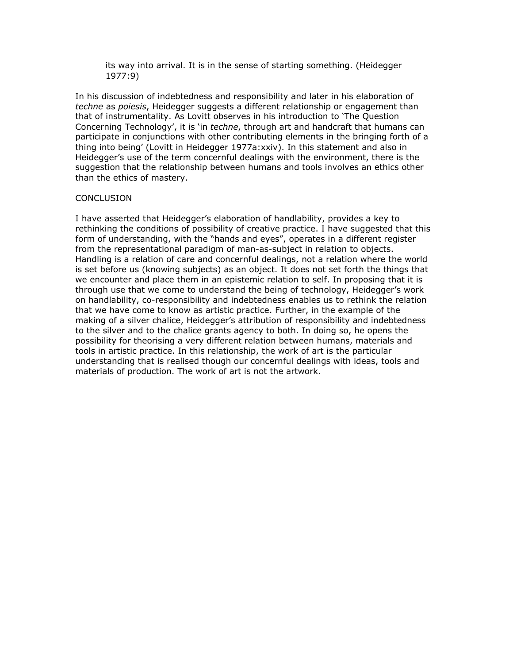its way into arrival. It is in the sense of starting something. (Heidegger 1977:9)

In his discussion of indebtedness and responsibility and later in his elaboration of *techne* as *poiesis*, Heidegger suggests a different relationship or engagement than that of instrumentality. As Lovitt observes in his introduction to 'The Question Concerning Technology', it is 'in *techne*, through art and handcraft that humans can participate in conjunctions with other contributing elements in the bringing forth of a thing into being' (Lovitt in Heidegger 1977a:xxiv). In this statement and also in Heidegger's use of the term concernful dealings with the environment, there is the suggestion that the relationship between humans and tools involves an ethics other than the ethics of mastery.

## CONCLUSION

I have asserted that Heidegger's elaboration of handlability, provides a key to rethinking the conditions of possibility of creative practice. I have suggested that this form of understanding, with the "hands and eyes", operates in a different register from the representational paradigm of man-as-subject in relation to objects. Handling is a relation of care and concernful dealings, not a relation where the world is set before us (knowing subjects) as an object. It does not set forth the things that we encounter and place them in an epistemic relation to self. In proposing that it is through use that we come to understand the being of technology, Heidegger's work on handlability, co-responsibility and indebtedness enables us to rethink the relation that we have come to know as artistic practice. Further, in the example of the making of a silver chalice, Heidegger's attribution of responsibility and indebtedness to the silver and to the chalice grants agency to both. In doing so, he opens the possibility for theorising a very different relation between humans, materials and tools in artistic practice. In this relationship, the work of art is the particular understanding that is realised though our concernful dealings with ideas, tools and materials of production. The work of art is not the artwork.